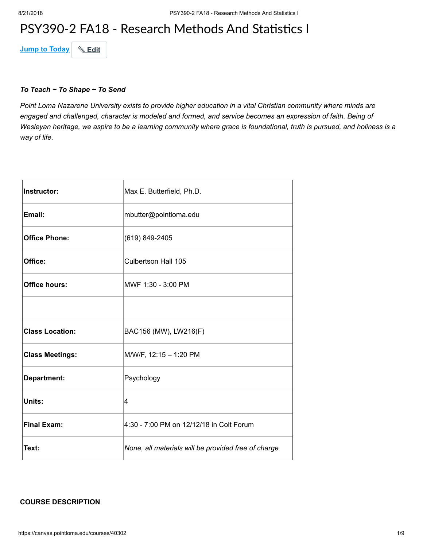## PSY390-2 FA18 - Research Methods And Statistics I

**Jump to Today & Edit** 

#### *To Teach ~ To Shape ~ To Send*

*Point Loma Nazarene University exists to provide higher education in a vital Christian community where minds are engaged and challenged, character is modeled and formed, and service becomes an expression of faith. Being of Wesleyan heritage, we aspire to be a learning community where grace is foundational, truth is pursued, and holiness is a way of life.*

| <b>Instructor:</b>     | Max E. Butterfield, Ph.D.                           |
|------------------------|-----------------------------------------------------|
| Email:                 | mbutter@pointloma.edu                               |
| <b>Office Phone:</b>   | (619) 849-2405                                      |
| Office:                | Culbertson Hall 105                                 |
| <b>Office hours:</b>   | MWF 1:30 - 3:00 PM                                  |
|                        |                                                     |
| <b>Class Location:</b> | BAC156 (MW), LW216(F)                               |
| <b>Class Meetings:</b> | M/W/F, 12:15 - 1:20 PM                              |
| Department:            | Psychology                                          |
| Units:                 | 4                                                   |
| <b>Final Exam:</b>     | 4:30 - 7:00 PM on 12/12/18 in Colt Forum            |
| Text:                  | None, all materials will be provided free of charge |

#### **COURSE DESCRIPTION**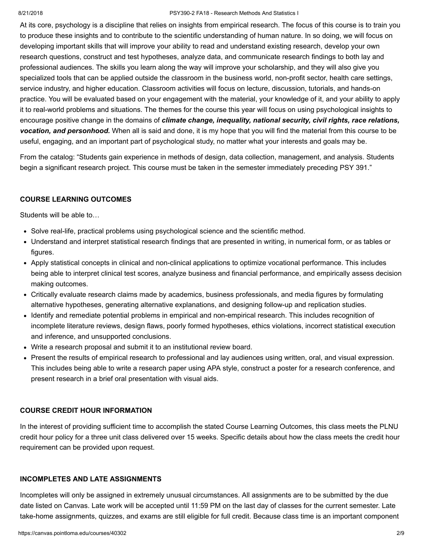#### 8/21/2018 PSY390-2 FA18 - Research Methods And Statistics I

At its core, psychology is a discipline that relies on insights from empirical research. The focus of this course is to train you to produce these insights and to contribute to the scientific understanding of human nature. In so doing, we will focus on developing important skills that will improve your ability to read and understand existing research, develop your own research questions, construct and test hypotheses, analyze data, and communicate research findings to both lay and professional audiences. The skills you learn along the way will improve your scholarship, and they will also give you specialized tools that can be applied outside the classroom in the business world, non-profit sector, health care settings, service industry, and higher education. Classroom activities will focus on lecture, discussion, tutorials, and hands-on practice. You will be evaluated based on your engagement with the material, your knowledge of it, and your ability to apply it to real-world problems and situations. The themes for the course this year will focus on using psychological insights to encourage positive change in the domains of *climate change, inequality, national security, civil rights, race relations, vocation, and personhood.* When all is said and done, it is my hope that you will find the material from this course to be useful, engaging, and an important part of psychological study, no matter what your interests and goals may be.

From the catalog: "Students gain experience in methods of design, data collection, management, and analysis. Students begin a significant research project. This course must be taken in the semester immediately preceding PSY 391."

#### **COURSE LEARNING OUTCOMES**

Students will be able to…

- Solve real-life, practical problems using psychological science and the scientific method.
- Understand and interpret statistical research findings that are presented in writing, in numerical form, or as tables or figures.
- Apply statistical concepts in clinical and non-clinical applications to optimize vocational performance. This includes being able to interpret clinical test scores, analyze business and financial performance, and empirically assess decision making outcomes.
- Critically evaluate research claims made by academics, business professionals, and media figures by formulating alternative hypotheses, generating alternative explanations, and designing follow-up and replication studies.
- Identify and remediate potential problems in empirical and non-empirical research. This includes recognition of incomplete literature reviews, design flaws, poorly formed hypotheses, ethics violations, incorrect statistical execution and inference, and unsupported conclusions.
- Write a research proposal and submit it to an institutional review board.
- Present the results of empirical research to professional and lay audiences using written, oral, and visual expression. This includes being able to write a research paper using APA style, construct a poster for a research conference, and present research in a brief oral presentation with visual aids.

#### **COURSE CREDIT HOUR INFORMATION**

In the interest of providing sufficient time to accomplish the stated Course Learning Outcomes, this class meets the PLNU credit hour policy for a three unit class delivered over 15 weeks. Specific details about how the class meets the credit hour requirement can be provided upon request.

#### **INCOMPLETES AND LATE ASSIGNMENTS**

Incompletes will only be assigned in extremely unusual circumstances. All assignments are to be submitted by the due date listed on Canvas. Late work will be accepted until 11:59 PM on the last day of classes for the current semester. Late take-home assignments, quizzes, and exams are still eligible for full credit. Because class time is an important component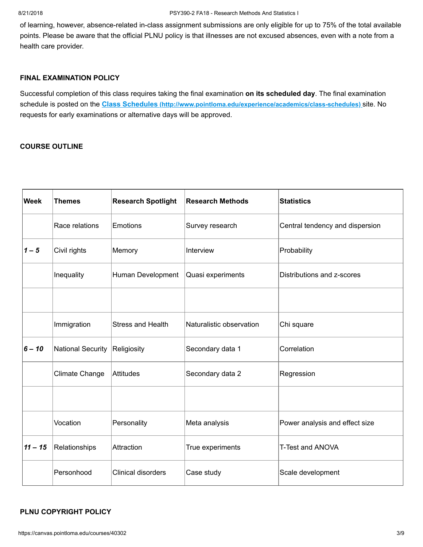of learning, however, absence-related in-class assignment submissions are only eligible for up to 75% of the total available points. Please be aware that the official PLNU policy is that illnesses are not excused absences, even with a note from a health care provider.

#### **FINAL EXAMINATION POLICY**

Successful completion of this class requires taking the final examination **on its scheduled day**. The final examination schedule is posted on the **Class Schedules [\(http://www.pointloma.edu/experience/academics/class-schedules\)](http://www.pointloma.edu/experience/academics/class-schedules)** site. No requests for early examinations or alternative days will be approved.

## **COURSE OUTLINE**

| <b>Week</b> | <b>Themes</b>     | <b>Research Spotlight</b> | <b>Research Methods</b>  | <b>Statistics</b>               |
|-------------|-------------------|---------------------------|--------------------------|---------------------------------|
|             | Race relations    | Emotions                  | Survey research          | Central tendency and dispersion |
| $1 - 5$     | Civil rights      | Memory                    | Interview                | Probability                     |
|             | Inequality        | Human Development         | Quasi experiments        | Distributions and z-scores      |
|             |                   |                           |                          |                                 |
|             | Immigration       | <b>Stress and Health</b>  | Naturalistic observation | Chi square                      |
| $6 - 10$    | National Security | Religiosity               | Secondary data 1         | Correlation                     |
|             | Climate Change    | Attitudes                 | Secondary data 2         | Regression                      |
|             |                   |                           |                          |                                 |
|             | Vocation          | Personality               | Meta analysis            | Power analysis and effect size  |
| $11 - 15$   | Relationships     | Attraction                | True experiments         | <b>T-Test and ANOVA</b>         |
|             | Personhood        | <b>Clinical disorders</b> | Case study               | Scale development               |

#### **PLNU COPYRIGHT POLICY**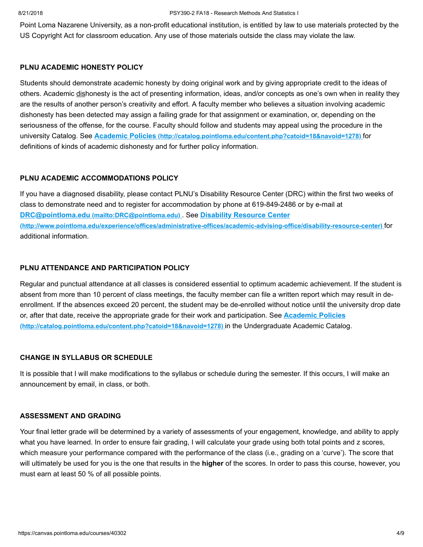#### 8/21/2018 PSY390-2 FA18 - Research Methods And Statistics I

Point Loma Nazarene University, as a non-profit educational institution, is entitled by law to use materials protected by the US Copyright Act for classroom education. Any use of those materials outside the class may violate the law.

#### **PLNU ACADEMIC HONESTY POLICY**

Students should demonstrate academic honesty by doing original work and by giving appropriate credit to the ideas of others. Academic dishonesty is the act of presenting information, ideas, and/or concepts as one's own when in reality they are the results of another person's creativity and effort. A faculty member who believes a situation involving academic dishonesty has been detected may assign a failing grade for that assignment or examination, or, depending on the seriousness of the offense, for the course. Faculty should follow and students may appeal using the procedure in the university Catalog. See **Academic Policies [\(http://catalog.pointloma.edu/content.php?catoid=18&navoid=1278\)](http://catalog.pointloma.edu/content.php?catoid=18&navoid=1278)** for definitions of kinds of academic dishonesty and for further policy information.

#### **PLNU ACADEMIC ACCOMMODATIONS POLICY**

If you have a diagnosed disability, please contact PLNU's Disability Resource Center (DRC) within the first two weeks of class to demonstrate need and to register for accommodation by phone at 619-849-2486 or by e-mail at **DRC@pointloma.edu [\(mailto:DRC@pointloma.edu\)](mailto:DRC@pointloma.edu)** . See **Disability Resource Center [\(http://www.pointloma.edu/experience/offices/administrative-offices/academic-advising-office/disability-resource-center\)](http://www.pointloma.edu/experience/offices/administrative-offices/academic-advising-office/disability-resource-center)** for additional information.

#### **PLNU ATTENDANCE AND PARTICIPATION POLICY**

Regular and punctual attendance at all classes is considered essential to optimum academic achievement. If the student is absent from more than 10 percent of class meetings, the faculty member can file a written report which may result in deenrollment. If the absences exceed 20 percent, the student may be de-enrolled without notice until the university drop date [or, after that date, receive the appropriate grade for their work and participation. See](http://catalog.pointloma.edu/content.php?catoid=18&navoid=1278) **Academic Policies (http://catalog.pointloma.edu/content.php?catoid=18&navoid=1278)** in the Undergraduate Academic Catalog.

## **CHANGE IN SYLLABUS OR SCHEDULE**

It is possible that I will make modifications to the syllabus or schedule during the semester. If this occurs, I will make an announcement by email, in class, or both.

#### **ASSESSMENT AND GRADING**

Your final letter grade will be determined by a variety of assessments of your engagement, knowledge, and ability to apply what you have learned. In order to ensure fair grading, I will calculate your grade using both total points and z scores, which measure your performance compared with the performance of the class (i.e., grading on a 'curve'). The score that will ultimately be used for you is the one that results in the **higher** of the scores. In order to pass this course, however, you must earn at least 50 % of all possible points.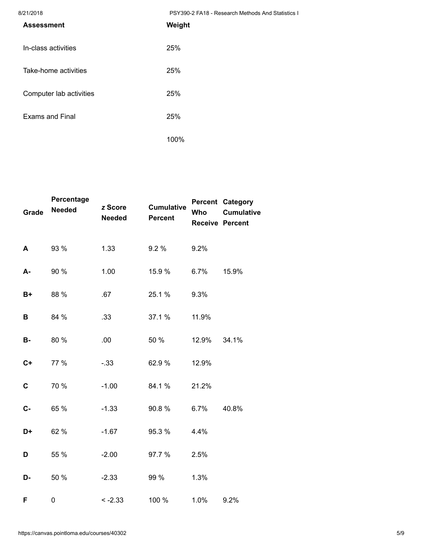8/21/2018 PSY390-2 FA18 - Research Methods And Statistics I

| , _ , , _ v , v<br><b>Assessment</b> | $1.91000 \pm 1.110$ $1.0000$ and $1.1100$ and $1.010$<br>Weight |
|--------------------------------------|-----------------------------------------------------------------|
| In-class activities                  | 25%                                                             |
| Take-home activities                 | 25%                                                             |
| Computer lab activities              | 25%                                                             |
| <b>Exams and Final</b>               | 25%                                                             |
|                                      | 100%                                                            |

| Grade       | Percentage<br><b>Needed</b> | z Score<br><b>Needed</b> | <b>Cumulative</b><br><b>Percent</b> | Who   | <b>Percent Category</b><br><b>Cumulative</b><br><b>Receive Percent</b> |
|-------------|-----------------------------|--------------------------|-------------------------------------|-------|------------------------------------------------------------------------|
| A           | 93 %                        | 1.33                     | 9.2%                                | 9.2%  |                                                                        |
| A-          | 90 %                        | 1.00                     | 15.9 %                              | 6.7%  | 15.9%                                                                  |
| B+          | 88 %                        | .67                      | 25.1 %                              | 9.3%  |                                                                        |
| В           | 84 %                        | .33                      | 37.1 %                              | 11.9% |                                                                        |
| <b>B-</b>   | 80 %                        | .00                      | 50 %                                | 12.9% | 34.1%                                                                  |
| $C+$        | 77 %                        | $-.33$                   | 62.9%                               | 12.9% |                                                                        |
| $\mathbf C$ | 70 %                        | $-1.00$                  | 84.1 %                              | 21.2% |                                                                        |
| $C -$       | 65 %                        | $-1.33$                  | 90.8%                               | 6.7%  | 40.8%                                                                  |
| D+          | 62 %                        | $-1.67$                  | 95.3 %                              | 4.4%  |                                                                        |
| D           | 55 %                        | $-2.00$                  | 97.7 %                              | 2.5%  |                                                                        |
| D-          | 50 %                        | $-2.33$                  | 99 %                                | 1.3%  |                                                                        |
| F           | 0                           | $-2.33$                  | 100 %                               | 1.0%  | 9.2%                                                                   |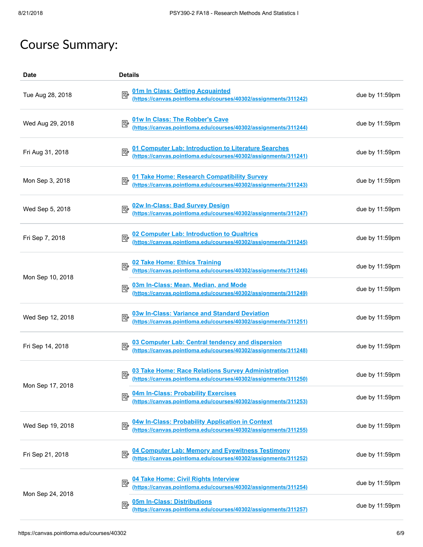# Course Summary:

| <b>Date</b>      | <b>Details</b>                                                                                                           |                |
|------------------|--------------------------------------------------------------------------------------------------------------------------|----------------|
| Tue Aug 28, 2018 | 01m In Class: Getting Acquainted<br>(https://canvas.pointloma.edu/courses/40302/assignments/311242)                      | due by 11:59pm |
| Wed Aug 29, 2018 | 01w In Class: The Robber's Cave<br>(https://canvas.pointloma.edu/courses/40302/assignments/311244)                       | due by 11:59pm |
| Fri Aug 31, 2018 | 01 Computer Lab: Introduction to Literature Searches<br>(https://canvas.pointloma.edu/courses/40302/assignments/311241)  | due by 11:59pm |
| Mon Sep 3, 2018  | 01 Take Home: Research Compatibility Survey<br>(https://canvas.pointloma.edu/courses/40302/assignments/311243)           | due by 11:59pm |
| Wed Sep 5, 2018  | 02w In-Class: Bad Survey Design<br>(https://canvas.pointloma.edu/courses/40302/assignments/311247)                       | due by 11:59pm |
| Fri Sep 7, 2018  | 02 Computer Lab: Introduction to Qualtrics<br>(https://canvas.pointloma.edu/courses/40302/assignments/311245)            | due by 11:59pm |
| Mon Sep 10, 2018 | 02 Take Home: Ethics Training<br>(https://canvas.pointloma.edu/courses/40302/assignments/311246)                         | due by 11:59pm |
|                  | 03m In-Class: Mean, Median, and Mode<br>(https://canvas.pointloma.edu/courses/40302/assignments/311249)<br>國             | due by 11:59pm |
| Wed Sep 12, 2018 | 03w In-Class: Variance and Standard Deviation<br>(https://canvas.pointloma.edu/courses/40302/assignments/311251)         | due by 11:59pm |
| Fri Sep 14, 2018 | 03 Computer Lab: Central tendency and dispersion<br>(https://canvas.pointloma.edu/courses/40302/assignments/311248)      | due by 11:59pm |
| Mon Sep 17, 2018 | 03 Take Home: Race Relations Survey Administration<br>(https://canvas.pointloma.edu/courses/40302/assignments/311250)    | due by 11:59pm |
|                  | 04m In-Class: Probability Exercises<br>(https://canvas.pointloma.edu/courses/40302/assignments/311253)<br>國              | due by 11:59pm |
| Wed Sep 19, 2018 | 04w In-Class: Probability Application in Context<br>(https://canvas.pointloma.edu/courses/40302/assignments/311255)<br>國 | due by 11:59pm |
| Fri Sep 21, 2018 | 04 Computer Lab: Memory and Eyewitness Testimony<br>(https://canvas.pointloma.edu/courses/40302/assignments/311252)<br>國 | due by 11:59pm |
| Mon Sep 24, 2018 | 04 Take Home: Civil Rights Interview<br>(https://canvas.pointloma.edu/courses/40302/assignments/311254)<br>國             | due by 11:59pm |
|                  | 05m In-Class: Distributions<br>國<br>(https://canvas.pointloma.edu/courses/40302/assignments/311257)                      | due by 11:59pm |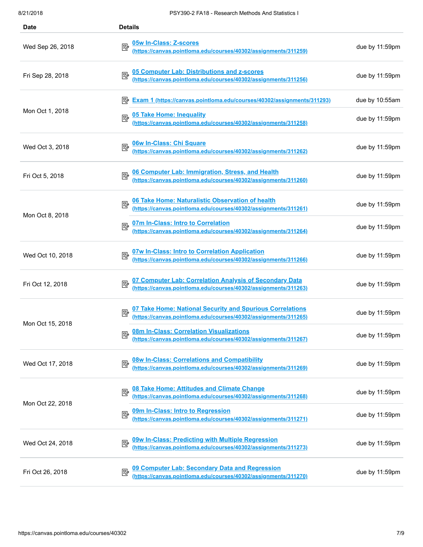| Date             | <b>Details</b>                                                                                                                        |                |
|------------------|---------------------------------------------------------------------------------------------------------------------------------------|----------------|
| Wed Sep 26, 2018 | 05w In-Class: Z-scores<br>國<br><u>uswin-Glass. z-scores</u><br><u>(https://canvas.pointloma.edu/courses/40302/assignments/311259)</u> | due by 11:59pm |
| Fri Sep 28, 2018 | 05 Computer Lab: Distributions and z-scores<br>(https://canvas.pointloma.edu/courses/40302/assignments/311256)                        | due by 11:59pm |
|                  | Exam 1 (https://canvas.pointloma.edu/courses/40302/assignments/311293)                                                                | due by 10:55am |
| Mon Oct 1, 2018  | 05 Take Home: Inequality 05 Take Home: Inequality 05 Take Home: 01302/assignments/311258)<br>暨                                        | due by 11:59pm |
| Wed Oct 3, 2018  | 06w In-Class: Chi Square<br>(https://canvas.pointloma.edu/courses/40302/assignments/311262)                                           | due by 11:59pm |
| Fri Oct 5, 2018  | 06 Computer Lab: Immigration, Stress, and Health<br>(https://canvas.pointloma.edu/courses/40302/assignments/311260)                   | due by 11:59pm |
| Mon Oct 8, 2018  | 06 Take Home: Naturalistic Observation of health<br>(https://canvas.pointloma.edu/courses/40302/assignments/311261)<br>國              | due by 11:59pm |
|                  | 07m In-Class: Intro to Correlation<br>(https://canvas.pointloma.edu/courses/40302/assignments/311264)                                 | due by 11:59pm |
| Wed Oct 10, 2018 | 07w In-Class: Intro to Correlation Application<br>(https://canvas.pointloma.edu/courses/40302/assignments/311266)                     | due by 11:59pm |
| Fri Oct 12, 2018 | 07 Computer Lab: Correlation Analysis of Secondary Data<br>(https://canvas.pointloma.edu/courses/40302/assignments/311263)            | due by 11:59pm |
| Mon Oct 15, 2018 | 07 Take Home: National Security and Spurious Correlations<br>(https://canvas.pointloma.edu/courses/40302/assignments/311265)<br>國     | due by 11:59pm |
|                  | 08m In-Class: Correlation Visualizations<br>(https://canvas.pointloma.edu/courses/40302/assignments/311267)<br>國                      | due by 11:59pm |
| Wed Oct 17, 2018 | 08w In-Class: Correlations and Compatibility<br>(https://canvas.pointloma.edu/courses/40302/assignments/311269)<br>國                  | due by 11:59pm |
| Mon Oct 22, 2018 | 08 Take Home: Attitudes and Climate Change<br>國<br><u> <br/>https://canvas.pointloma.edu/courses/40302/assignments/311268)</u>        | due by 11:59pm |
|                  | 09m In-Class: Intro to Regression<br>國<br>(https://canvas.pointloma.edu/courses/40302/assignments/311271)                             | due by 11:59pm |
| Wed Oct 24, 2018 | 09w In-Class: Predicting with Multiple Regression<br>(https://canvas.pointloma.edu/courses/40302/assignments/311273)<br>國             | due by 11:59pm |
| Fri Oct 26, 2018 | 09 Computer Lab: Secondary Data and Regression<br>(https://canvas.pointloma.edu/courses/40302/assignments/311270)<br>國                | due by 11:59pm |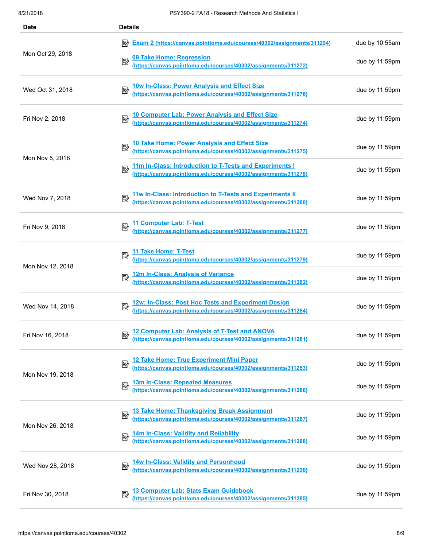| <b>Date</b>      | <b>Details</b>                                                                                                              |                |
|------------------|-----------------------------------------------------------------------------------------------------------------------------|----------------|
|                  | Exam 2 (https://canvas.pointloma.edu/courses/40302/assignments/311294)                                                      | due by 10:55am |
| Mon Oct 29, 2018 | 09 Take Home: Regression<br>(https://canvas.pointloma.edu/courses/40302/assignments/311272)<br>國                            | due by 11:59pm |
| Wed Oct 31, 2018 | 10w In-Class: Power Analysis and Effect Size<br>(https://canvas.pointloma.edu/courses/40302/assignments/311276)             | due by 11:59pm |
| Fri Nov 2, 2018  | 10 Computer Lab: Power Analysis and Effect Size<br>(https://canvas.pointloma.edu/courses/40302/assignments/311274)          | due by 11:59pm |
| Mon Nov 5, 2018  | 10 Take Home: Power Analysis and Effect Size<br>(https://canvas.pointloma.edu/courses/40302/assignments/311275)             | due by 11:59pm |
|                  | 11m In-Class: Introduction to T-Tests and Experiments I<br>(https://canvas.pointloma.edu/courses/40302/assignments/311278)  | due by 11:59pm |
| Wed Nov 7, 2018  | 11w In-Class: Introduction to T-Tests and Experiments II<br>(https://canvas.pointloma.edu/courses/40302/assignments/311280) | due by 11:59pm |
| Fri Nov 9, 2018  | 11 Computer Lab: T-Test<br>(https://canvas.pointloma.edu/courses/40302/assignments/311277)                                  | due by 11:59pm |
| Mon Nov 12, 2018 | 11 Take Home: T-Test<br>(https://canvas.pointloma.edu/courses/40302/assignments/311279)                                     | due by 11:59pm |
|                  | 12m In-Class: Analysis of Variance<br>(https://canvas.pointloma.edu/courses/40302/assignments/311282)<br>郾                  | due by 11:59pm |
| Wed Nov 14, 2018 | 12w: In-Class: Post Hoc Tests and Experiment Design<br>(https://canvas.pointloma.edu/courses/40302/assignments/311284)      | due by 11:59pm |
| Fri Nov 16, 2018 | 12 Computer Lab: Analysis of T-Test and ANOVA<br>(https://canvas.pointloma.edu/courses/40302/assignments/311281)            | due by 11:59pm |
| Mon Nov 19, 2018 | 12 Take Home: True Experiment Mini Paper<br>(https://canvas.pointloma.edu/courses/40302/assignments/311283)<br>國            | due by 11:59pm |
|                  | 13m In-Class: Repeated Measures<br>國<br>(https://canvas.pointloma.edu/courses/40302/assignments/311286)                     | due by 11:59pm |
| Mon Nov 26, 2018 | 13 Take Home: Thanksgiving Break Assignment<br>(https://canvas.pointloma.edu/courses/40302/assignments/311287)<br>國         | due by 11:59pm |
|                  | 14m In-Class: Validity and Reliability<br>(https://canvas.pointloma.edu/courses/40302/assignments/311288)<br>國              | due by 11:59pm |
| Wed Nov 28, 2018 | 14w In-Class: Validity and Personhood<br>(https://canvas.pointloma.edu/courses/40302/assignments/311290)<br>國               | due by 11:59pm |
| Fri Nov 30, 2018 | 13 Computer Lab: Stats Exam Guidebook<br>國<br>(https://canvas.pointloma.edu/courses/40302/assignments/311285)               | due by 11:59pm |